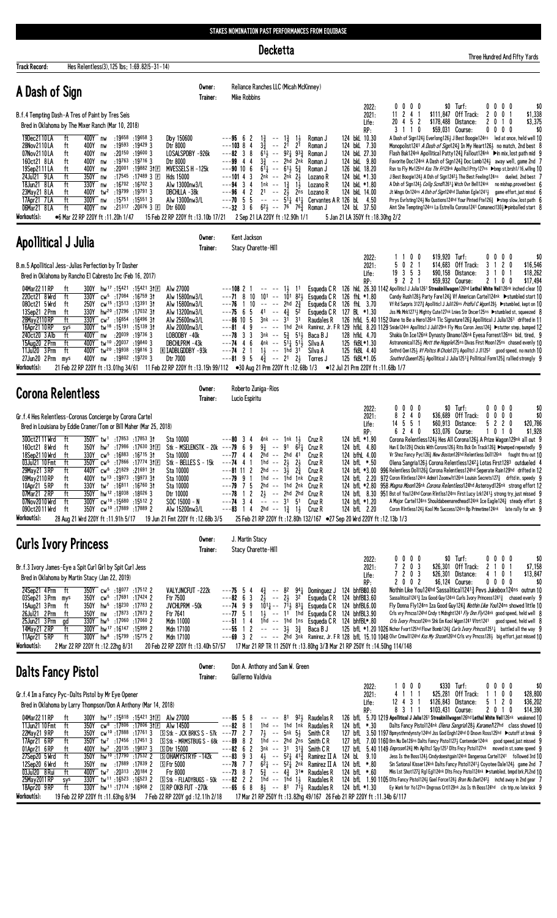**Decketta** 

|                                                                                                                                                                                       |                                                                                                                                                                                                                                                                                                                                                                                                                                                                                                                                                                                                                                                                                                                                 |                                                                                                                                                                                                                                            |                                                                                                                                                                                                                                                                                |                                                                                                                     |                    |                                                                                                                                                                                                                                                                                                                                       |                                  |                                                                                                                                                                                                                                                                                             |                                                                                                                                                                                                                                                                                                                                                                                                                                                                                                                                                                                                                                                                                    |                                                 |                                                                                                                                                                                                                                                                                                                                                                                                                                                                                                                                                                                                                                                                                                                                                                                                                                                                                                                                                     |                                                                                  |   |                                                        | Three Hundred And Fifty Yards           |
|---------------------------------------------------------------------------------------------------------------------------------------------------------------------------------------|---------------------------------------------------------------------------------------------------------------------------------------------------------------------------------------------------------------------------------------------------------------------------------------------------------------------------------------------------------------------------------------------------------------------------------------------------------------------------------------------------------------------------------------------------------------------------------------------------------------------------------------------------------------------------------------------------------------------------------|--------------------------------------------------------------------------------------------------------------------------------------------------------------------------------------------------------------------------------------------|--------------------------------------------------------------------------------------------------------------------------------------------------------------------------------------------------------------------------------------------------------------------------------|---------------------------------------------------------------------------------------------------------------------|--------------------|---------------------------------------------------------------------------------------------------------------------------------------------------------------------------------------------------------------------------------------------------------------------------------------------------------------------------------------|----------------------------------|---------------------------------------------------------------------------------------------------------------------------------------------------------------------------------------------------------------------------------------------------------------------------------------------|------------------------------------------------------------------------------------------------------------------------------------------------------------------------------------------------------------------------------------------------------------------------------------------------------------------------------------------------------------------------------------------------------------------------------------------------------------------------------------------------------------------------------------------------------------------------------------------------------------------------------------------------------------------------------------|-------------------------------------------------|-----------------------------------------------------------------------------------------------------------------------------------------------------------------------------------------------------------------------------------------------------------------------------------------------------------------------------------------------------------------------------------------------------------------------------------------------------------------------------------------------------------------------------------------------------------------------------------------------------------------------------------------------------------------------------------------------------------------------------------------------------------------------------------------------------------------------------------------------------------------------------------------------------------------------------------------------------|----------------------------------------------------------------------------------|---|--------------------------------------------------------|-----------------------------------------|
| <b>Track Record:</b>                                                                                                                                                                  | Hes Relentless(3), 125 lbs; 1:69.82(5-31-14)                                                                                                                                                                                                                                                                                                                                                                                                                                                                                                                                                                                                                                                                                    |                                                                                                                                                                                                                                            | Owner:                                                                                                                                                                                                                                                                         |                                                                                                                     |                    | Reliance Ranches LLC (Micah McKinney)                                                                                                                                                                                                                                                                                                 |                                  |                                                                                                                                                                                                                                                                                             |                                                                                                                                                                                                                                                                                                                                                                                                                                                                                                                                                                                                                                                                                    |                                                 |                                                                                                                                                                                                                                                                                                                                                                                                                                                                                                                                                                                                                                                                                                                                                                                                                                                                                                                                                     |                                                                                  |   |                                                        |                                         |
| A Dash of Sign<br>19Dec2110LA<br>28Nov2110LA<br>07Nov2110LA<br>160ct21 8LA<br>19Sep2111LA<br>24Jul21 9 LA<br>18Jun21 8LA<br>23May21 8LA<br>17Apr21 7LA<br>06Mar21 8LA<br>Workout(s):  | B.f.4 Tempting Dash-A Tres of Paint by Tres Seis<br>Bred in Oklahoma by The Mixer Ranch (Mar 10, 2018)<br>ft<br>400Y nw<br>ft<br>400Y<br>nw<br>400Y<br>ft<br>nw<br>400Y<br>ft<br>nw<br>ft<br>400Y<br>nw<br>ft<br>350Y<br>nw<br>ft<br>330Y<br>nw<br>400Y tw <sup>2</sup> :19799 :19791 3<br>ft<br>ft<br>300Y<br>nw<br>ft<br>400Y<br>nw<br>●6 Mar 22 RP 220Y ft :11.20h 1/47                                                                                                                                                                                                                                                                                                                                                      | :19658 :19658 3<br>:19593 :19429 3<br>:20150 :19600 3<br>:19763 :19716 3<br>:20001 :19882 3†⊡<br>:17545 :17489 3 $E$<br>:16 <sup>702</sup> :16 <sup>702</sup> 3<br>$:15^{751}:15^{551}3$<br>:21 <sup>317</sup> :20 <sup>076</sup> 3 $\Box$ | Trainer:<br>Dby 150600<br>Dtr 8000<br>LOSALSPDBY -926k<br>Dtr 8000<br>MVESSELS H -125k<br>Hds 15000<br>Alw 13000nw3/L<br>DBCHLLA -38k<br>Alw 13000nw3/L<br>Dtr 6000<br>15 Feb 22 RP 220Y ft: 13.10b 17/21                                                                      | $---95$ 6 2<br>$---103$ 8 4<br>$---82 \quad 3 \quad 8$<br>$---99$ 4 4<br>$---90$ 10 6<br>$---101 4 3$<br>$--94$ 3 4 | Mike Robbins       | $1\frac{3}{4}$<br>$- - 1\frac{3}{4}$<br>$3\frac{3}{4}$ -- $2^1$ $2^1$<br>$6^{11}_{2}$ -- $9^{21}_{4}$ $9^{33}_{4}$<br>$3^{3}_{4}$ -- 2hd 2nk<br>$61\frac{1}{4}$ -- $61\frac{1}{2}$ $5\frac{3}{4}$<br>$2nk$ -- $2nk$ $2\frac{1}{2}$<br>1nk -- 1 $\frac{3}{4}$<br>$--96$ 4 2 21 $--2\frac{1}{2}$ 2ns<br>2 Sep 21 LA 220Y ft: 12.90h 1/1 | $1\frac{1}{2}$<br>$1\frac{1}{2}$ | Roman J<br>Roman J<br>Roman J<br>Roman J<br>Roman J<br>Lozano R<br>Lozano R<br>Lozano R<br>$-$ - - 32 3 6 6 <sup>2</sup> + - 7 <sup>6</sup> 7 <sup>63</sup> Roman J                                                                                                                         | 2022:<br>2021:<br>Life:<br>RP:<br>124 bkL 10.30<br>124 bkL 7.30<br>124 bkL 27.30<br>124 bkL 9.80<br>126 bkL 18.20<br>124 bkL *1.30<br>124 bkL *1.80<br>124 bkL 14.00<br>$---70$ 5 5 $--- 5\overline{14}$ 41 $\frac{1}{4}$ Cervantes AR 126 bl 4.50<br>124 bL 37.50<br>5 Jan 21 LA 350Y ft: 18.30hg 2/2                                                                                                                                                                                                                                                                                                                                                                             | $0\,0\,0\,0$<br>11 2 4 1<br>20 4 5 2<br>3 1 1 0 | A Dash of Sign1243 Everlong1263 J Best Boogie124ns led at once, held well 10<br>Monopolist1241 A Dash of Sign1243 In My Heart1263 no match, 2nd best 8<br>Flash Bak124nk Apollitical Patty124½ Fallout124nk ▶in mix, lost path mid 9<br>Favorite Doc124nk A Dash of Sign124 $\frac{3}{4}$ Doc Lamb124 $\frac{1}{4}$ away well, game 2nd 7<br>Rsn to Fly Mv125hd Kss Thr Fr129nk Apolltcl Ptty127ns ▶bmp st,brsh1/16,willng 10<br>J Best Boogie 124 3 A Dsh of Sign 1242 3 The Best Feeling 124ns dueled, 2nd best 7<br>A Dsh of Sign124} Collg Scnd/1261} Witch Ovr Bell124nk no mishap, proved best 6<br>Jt Wings On124ns <i>A Dsh of Sign</i> 124hd Ilushion Egle1241 <sub>2</sub> game effort, just missd 6<br>Prrys Evrlsting124} No Qustions124hd Your Pinted Fte126} ▶ step slow, lost path 6<br>Aint She Tempting124ns La Estrella Corona1241 Comaneci1303 ▶ pinballed start 8                                                               | $$0$ Turf:<br>\$111,847 Off Track:<br>\$178,488 Distance:<br>\$59,031 Course:    | 2 | $0\,0\,0\,0$<br>2 0 0 1<br>0 1 0<br>$0\,0\,0\,0$       | \$0<br>\$1,338<br>\$3,375<br>\$0        |
| Apollitical J Julia                                                                                                                                                                   |                                                                                                                                                                                                                                                                                                                                                                                                                                                                                                                                                                                                                                                                                                                                 |                                                                                                                                                                                                                                            | Owner:<br>Trainer:                                                                                                                                                                                                                                                             |                                                                                                                     | Kent Jackson       | Stacy Charette-Hill                                                                                                                                                                                                                                                                                                                   |                                  |                                                                                                                                                                                                                                                                                             |                                                                                                                                                                                                                                                                                                                                                                                                                                                                                                                                                                                                                                                                                    |                                                 |                                                                                                                                                                                                                                                                                                                                                                                                                                                                                                                                                                                                                                                                                                                                                                                                                                                                                                                                                     |                                                                                  |   |                                                        |                                         |
| 04Mar2211RP<br>220ct21 8 Wrd<br>080ct21 5 Wrd<br>13Sep21 2Prm<br>28May 2110 RP<br>16Apr21 10 RP<br>240ct20 3 Alb<br>15Aug20 2 Prm<br>11Jul20 3 Prm<br>27Jun20 2Prm mys<br>Workout(s): | B.m.5 Apollitical Jess-Julias Perfection by Tr Dasher<br>Bred in Oklahoma by Rancho El Cabresto Inc (Feb 16, 2017)<br>300Y hw <sup>17</sup> :15421:1542131E<br>ft<br>ft<br>330Y cw <sup>5</sup> :17084 :16759 31<br>250Y cw <sup>15</sup> :13513:1339131<br>ft<br>330Y hw <sup>20</sup> :17296 :17032 31<br>ft<br>cw <sup>7</sup> :16 <sup>654</sup> :16 <sup>496</sup> 3†<br>ft<br>330Y<br>300Y tw <sup>18</sup> :15191 :15139 3t<br>sys<br>400Y nw :20039 :19736 3<br>ft<br>400Y tw <sup>10</sup> :20037:198403<br>ft<br>400Y tw <sup>20</sup> :19938:198163<br>ft<br>400Y<br>nw<br>21 Eeb 22 RP 220Y ft:13.01hg 34/61 11 Feb 22 RP 220Y ft:13.15h 99/112 ●30 Aug 21 Prm 220Y ft:12.68b 1/3 ●12 Jul 21 Prm 220Y ft:11.68b 1/7 | :19802 :19720 3                                                                                                                                                                                                                            | Alw 27000<br>Alw 15800nw3/L<br>Alw 15800nw3/L<br>Alw 13200nw3/L<br>Alw 25600nw3/L<br>Alw 20000nw3/L<br>LOBODBY -40k<br>DBCHLPRM-43k<br><b>RE IADBLGDDBY -93k</b><br>Dtr 7000                                                                                                   | $---108$ 2 1<br>$---75$ 6 5<br>$---86$ 10 5<br>$---8149$<br>$---78$ 3 3<br>$---74$ 4 6<br>$---74$ 2 1<br>$---8195$  |                    | $----$ 1, 11<br>$---76$ 1 10 -- -- 2hd 2 $\frac{3}{4}$<br>41 -- $4\frac{3}{4}$ 5 <sup>2</sup><br>$3nk - 3i$ 31<br>$1\frac{1}{2}$ -- 1hd 31                                                                                                                                                                                            |                                  | Esqueda C R<br>Raudales R<br>$3nk - 535513$ Baca B J<br>4nk -- $5^{11}$ 51 <sup>1</sup> / <sub>2</sub> Silva A<br>Silva A<br>$4\frac{3}{4}$ -- 2 <sup>1</sup> 2 <sup>1</sup> / <sub>2</sub> Torres J                                                                                        | 2022:<br>2021:<br>Life:<br>RP:<br>Esqueda CR 126 hkl. 26.30 1142 Apollitic1 J Julia1261 Streakinlilwagon126hd Lethal White Veil126nk inched clear 10<br>---71 8 10 101 -- 101 82 Esqueda CR 126 fhl *1.80<br>Esqueda C R $126$ fhl $3.70$<br>127 BL *1.30<br>-- -- 1hd 2nk Ramirez, Jr. FR 129 hfkl 8.20 1129 Snide124nk Apollitic1 J Juli129nk Fly Miss Coron Jess124 $\frac{3}{4}$ Stutter step, bumped 12<br>128 hfkL 4.70<br>125 fkBL*1.30<br>125 fkBL 4.40<br>125 fkBL*1.05                                                                                                                                                                                                   | 1100<br>5 0 2 1<br>$19$ 3 5 3<br>9 2 2 1        | Candy Rush1283 Party Fare1243 Vf American Carte1124nk >stumbled start 10<br>Vf Rd Surpris 31273 Apolliticl J Juli126ns Pridful C Wgon1293 ▶ stumbled, kept on 10<br>Jss Mk Mrk1271; Mighty Cute127nk Lnies Str Dncer125ns ▶stumbled st, squeezed 8<br>126 hfkl. 5.40 1152 Diane to Be a Hero126nk Tlc Signature1263 Apollitical J Julia1261 drifted in 11<br>Shakia On Ice126nk Dynasty Dinamo126nk Eyesa Forrest126ns bid, tired, 9<br>Astranomical1253 <i>Mott the Hopple</i> 125ns Divas First Moon125ns chased evenly 10<br>Sothrd Qen125} Vf Poltcs N Chcks127} Apolltcl J J1125 <sup>2</sup> good speed, no match 10<br><i>Southrd Queen</i> 125 <sub>2</sub> Apollitical J Julia125 <sup>13</sup> <sub>4</sub> Pollitical Form125 <sup>3</sup> <sub>4</sub> rallied strongly 9                                                                                                                                                               | \$19,920 Turf:<br>$$14,683$ Off Track:<br>\$90,158 Distance:<br>\$59,932 Course: |   | $0\ 0\ 0\ 0$<br>3 1 2 0<br>3 1 0<br>2 1 0 0            | \$0<br>\$16,546<br>\$18,262<br>\$17,494 |
| <b>Corona Relentless</b>                                                                                                                                                              |                                                                                                                                                                                                                                                                                                                                                                                                                                                                                                                                                                                                                                                                                                                                 |                                                                                                                                                                                                                                            | Owner:<br>Trainer:                                                                                                                                                                                                                                                             |                                                                                                                     | Lucio Espiritu     | Roberto Zuniga-Rios                                                                                                                                                                                                                                                                                                                   |                                  |                                                                                                                                                                                                                                                                                             |                                                                                                                                                                                                                                                                                                                                                                                                                                                                                                                                                                                                                                                                                    |                                                 |                                                                                                                                                                                                                                                                                                                                                                                                                                                                                                                                                                                                                                                                                                                                                                                                                                                                                                                                                     |                                                                                  |   |                                                        |                                         |
| 300ct21 11 Wrd<br>160ct21 8 Wrd<br>18Sep2110 Wrd<br>03Jul21 10 Fmt ft<br>29May21 3 RP<br>09May 2110 RP<br>10Apr21 5RP<br>07Mar21 2RP<br>07Nov2010 Wrd<br>090ct2011 Wrd<br>Workout(s): | Gr.f.4 Hes Relentless-Coronas Concierge by Corona Cartel<br>Bred in Louisiana by Eddie Cramer/Tom or Bill Maher (Mar 25, 2018)<br>ft<br>350Y tw <sup>1</sup> :17853 :17853 31<br>350Y hw <sup>7</sup> :17986 :17630 3†E<br>ft<br>330Y cw <sup>5</sup> :16883 :16715 31<br>ft<br>350Y cw <sup>5</sup> :17866 :17774 31E<br>440Y cw <sup>8</sup> :21829 :21691 31<br>ft<br>tw <sup>13</sup> :19973:1997331<br>400Y<br>ft<br>330Y tw <sup>7</sup> :16811 :16760 31<br>ft<br>350Y hw <sup>12</sup> :18038:18026 3<br>ft<br>300Y cw <sup>10</sup> :15680 :15512 2<br>ft<br>350Y cw <sup>10</sup> :17889 :17889 2<br>ft<br>28 Aug 21 Wrd 220Y ft: 11.91h 5/17                                                                         |                                                                                                                                                                                                                                            | Sta 10000<br>Stk - MSELENSTK - 20k --- <b>79</b> 6 9<br>Sta 10000<br>Stk - BELLES S - 15k ---74 4 1 1hd -- $2\frac{1}{2}$ $2\frac{1}{2}$ Cruz R<br>Sta 10000<br>Sta 10000<br>Sta 10000<br>Dtr 10000<br>$SOC 15000 - N$<br>Alw 15200nw3/L<br>19 Jun 21 Fmt 220Y ft : 12.68b 3/5 | $---80$ 3 4<br>$---77$ 4 4<br>---81 11 2<br>$---79$ 9 1<br>$--79$ 7 5<br>$---78$ 1 2<br>$---74$ 3 4<br>$---83$ 14   |                    | 4nk -- 1nk 1 $\frac{1}{2}$ Cruz R<br>$9\frac{3}{4}$ -- 91 $6\frac{2}{4}$ Cruz R<br>$2hd$ -- $2hd$ 41 $Cruz$ R<br>2hd --<br>1hd -- 1hd 1nk Cruz R<br>2hd $--$ 1hd 2nk $CruzR$<br>$2\frac{1}{2}$ -- 2hd 2hd Cruz R<br>-- -- 31 51 Cruz R<br>2hd -- $1\frac{3}{4}$ 1, Cruz R                                                             | $3\frac{1}{2}$ $2\frac{3}{4}$    | Cruz R                                                                                                                                                                                                                                                                                      | 2022:<br>2021:<br>Life:<br>RP:<br>124 bfL *1.90<br>124 bfL 4.80<br>124 bfhl 4.00<br>124 bfL *.50<br>124 bfL *1.20<br>124 bfL 2.20<br>25 Feb 21 RP 220Y ft :12.80h 132/167 ●27 Sep 20 Wrd 220Y ft :12.13b 1/3                                                                                                                                                                                                                                                                                                                                                                                                                                                                       | 0 0 0 0<br>8 2 4 0<br>14 5 5 1<br>6 2 4 0       | Corona Relentless124} Hes All Corona126} A Prize Wagon129nk all out 9<br>Hun E Do129 $\frac{3}{4}$ Chicks With Corons126 $\frac{1}{2}$ Rits Bck On Track126 $\frac{3}{4}$ Dumped repeatedly 9<br>Vr Shez Fancy Pyc1263 New Boston126hd Relentless Doll126nk fought thru out 10<br>Olena Sangria126½ Corona Relentless1242½ Lotas First1283 outdueled 4<br>124 bfL *3.00 996 Relentless Doll1263 Corona Relentless124hd Seperate Rain129hd drifted in 12<br>124 bfl. 2.20 972 Coron Rintless124nk Admirl Zoomwlt126nk Louisin Secrets1273 drftd in, speedy 9<br>124 bfl *2.80 958 Magna Moon126nk Corona Relentless124hd Asteroyd126nk strong effort 12<br>124 bfL 8.30 951 Bst of You124hd Coron Rintiss124ns First Lucy Lrk1241 <sub>2</sub> strong try, just missed 9<br>A Major Cartel124ns Shouldabeenaredhead124nk Ice Eagle124 <sup>3</sup> steady effort 8<br>Coron RIntless1243 Kool Mn Success124ns Bp Primetime124nk late rally for win 9 | $$0$ Turf:<br>\$36,689 Off Track:<br>\$60,913 Distance:<br>\$33,076 Course:      | 0 | $0\,0\,0\,0$<br>$0\,$ 0 $\,$ 0 $\,$<br>5 2 2 0<br>1010 | \$0<br>\$0<br>\$20,786<br>\$1,928       |
| <b>Curls Ivory Princess</b>                                                                                                                                                           |                                                                                                                                                                                                                                                                                                                                                                                                                                                                                                                                                                                                                                                                                                                                 |                                                                                                                                                                                                                                            | Owner:<br>Trainer:                                                                                                                                                                                                                                                             |                                                                                                                     | J. Martin Stacy    | Stacy Charette-Hill                                                                                                                                                                                                                                                                                                                   |                                  |                                                                                                                                                                                                                                                                                             |                                                                                                                                                                                                                                                                                                                                                                                                                                                                                                                                                                                                                                                                                    |                                                 |                                                                                                                                                                                                                                                                                                                                                                                                                                                                                                                                                                                                                                                                                                                                                                                                                                                                                                                                                     |                                                                                  |   |                                                        |                                         |
| 24Sep21 4 Prm<br>03Sep21 3Prm mys<br>15Aug21 3 Prm<br>26Jul21 2Prm<br>25Jun21 3 Prm<br>14May21 2 RP<br>11Apr21 5 RP<br>Workout(s):                                                    | Br.f.3 Ivory James-Eye a Spit Curl Girl by Spit Curl Jess<br>Bred in Oklahoma by Martin Stacy (Jan 22, 2019)<br>350Y cw <sup>5</sup> :18077 :17512 2<br>ft<br>$350Y$ cw <sup>5</sup> :17691 :17424 2<br>350Y hw <sup>5</sup> :18 <sup>230</sup> :17783 2<br>ft<br>350Y nw :17873 :17873 2<br>ft<br>330Y hw <sup>5</sup> :17060 :17060 2<br>gd<br>300Y hw <sup>17</sup> :16147:15999 2<br>ft<br>300Y hw <sup>8</sup> :15799 :15775 2<br>ft<br>2 Mar 22 RP 220Y ft : 12.22hg 8/31                                                                                                                                                                                                                                                 |                                                                                                                                                                                                                                            | VALYJNCFUT -222k<br>Ftr 7500<br>JVCHLPRM-50k<br>Ftr 7641<br>Mdn 11000<br>Mdn 17100<br>Mdn 17100<br>20 Feb 22 RP 220Y ft:13.40h 57/57                                                                                                                                           | $---75 \quad 5 \quad 4$                                                                                             |                    |                                                                                                                                                                                                                                                                                                                                       |                                  | $---55$ 1 2 $---3\frac{1}{2}$ $3\frac{3}{4}$ Baca B J                                                                                                                                                                                                                                       | 2022:<br>2021:<br>Life:<br>RP:<br>$4\frac{3}{4}$ -- 8 <sup>2</sup> 9 <sup>4</sup> $\frac{1}{4}$ Dominguez J 124 bhfBB0.60<br>$---82$ 6 3 $2\frac{1}{2}$ $---2\frac{1}{2}$ 3 <sup>2</sup> Esqueda C R 124 bhfBll3.60<br>$---74$ 9 9 101 $\frac{1}{4}$ -- 71 $\frac{1}{2}$ 8 <sup>3</sup> $\frac{1}{4}$ Esqueda C R 124 bhfBL6.00<br>$---77$ 5 1 13 $---11$ 1hd Esqueda C R 124 bhfBL3.90<br>$---51$ 1 4 1hd $---$ 1hd 1ns Esqueda C R 124 bhfBL*.80<br>---69 3 2 -- -- 2hd 3nk Ramirez, Jr. FR 128 bfL 15.10 1048 Olvr Crmw11124hd Kss My Shzom126hd Crls vry Prncss128½ big effort, just missed 10<br>17 Mar 21 RP TR 11 250Y ft : 13.80hg 3/8 Mar 21 RP 250Y ft : 14.50hg 114/148 | $0\,0\,0\,0$<br>7 2 0 3<br>7203<br>2002         | Nothin Like You124hd Sassalitical12413 Pevs Jukebox124ns outrun 10<br>Sassalitical1241 $\frac{3}{4}$ Iza Good Guy124nk Curls Ivory Princess1241 $\frac{3}{4}$ chased evenly 9<br>Fly Donna Fly124ns Iza Good Guy1243 Nothin Like You124ns showed little 10<br>Crls vry Prncss124hd Cndy t Mdnght1241 Fly Dnn Fly124nk good speed, held well 8<br>Crls Ivory Prncss124ns Shk Em Kool Wgon1241 Vltrt1241 good speed, held well 8<br>125 bfL *1.20 1026 Nchor Fvort125hd Flowr Bomb124 $\frac{3}{4}$ Curls Ivory Princss1251 $\frac{1}{4}$ battled all the way 9                                                                                                                                                                                                                                                                                                                                                                                       | \$0 Turf:<br>\$26,301 Off Track:<br>\$26,301 Distance:<br>\$6,124 Course:        |   | $0\,0\,0\,0$<br>2 1 0 1<br>4 1 0 1<br>$0\ 0\ 0\ 0$     | \$0<br>\$7,158<br>\$13,847<br>\$0       |
| <b>Dalts Fancy Pistol</b>                                                                                                                                                             |                                                                                                                                                                                                                                                                                                                                                                                                                                                                                                                                                                                                                                                                                                                                 |                                                                                                                                                                                                                                            | Owner:<br>Trainer:                                                                                                                                                                                                                                                             |                                                                                                                     | Guillermo Valdivia | Don A. Anthony and Sam W. Green                                                                                                                                                                                                                                                                                                       |                                  |                                                                                                                                                                                                                                                                                             |                                                                                                                                                                                                                                                                                                                                                                                                                                                                                                                                                                                                                                                                                    |                                                 |                                                                                                                                                                                                                                                                                                                                                                                                                                                                                                                                                                                                                                                                                                                                                                                                                                                                                                                                                     |                                                                                  |   |                                                        |                                         |
| 04Mar2211RP<br>11Jun21 10 Fmt<br>22May21 9 RP<br>17Apr21 6 RP<br>01Apr21 6RP<br>27Sep20 5 Wrd<br>12Sep20 6 Wrd<br>03Jul20 8 Rui<br>25May 2011 RP                                      | Gr.f.4 Im a Fancy Pyc-Dalts Pistol by Mr Eye Opener<br>Bred in Oklahoma by Larry Thompson/Don A Anthony (Mar 14, 2018)<br>300Y hw <sup>17</sup> :15818 :15421 31E Alw 27000<br>ft<br>350Y cw <sup>8</sup> :17806:1780631E Alw 14500<br>ft<br>350Y cw <sup>10</sup> :17888 :17761 3<br>tt<br>$350Y$ tw <sup>7</sup> :17456 :17451 3<br>ft<br>400Y<br>ft<br>ft<br>350Y<br>350Y<br>ft<br>nw<br>400Y tw <sup>7</sup> :20313 :20184 2<br>ft<br>330Y tw <sup>11</sup> :16 <sup>523</sup> :16 <sup>523</sup> 2<br>sys                                                                                                                                                                                                                  | hw <sup>7</sup> :20 <sup>135</sup> :19 <sup>837</sup> 3<br>hw <sup>10</sup> :17 <sup>790</sup> :17532 2<br>:17889 :17839 2                                                                                                                 | S Stk - JCK BRKS S - 57k ---77 2 7<br>$S$ Stk - MRMSTBUG S - 68k ---89 8 2<br><b>SDtr 15000</b><br>SOHAMYSTRYF-142k<br><b>SFtr 5000</b><br>Ftr 8000<br>$\boxed{5}$ Stk - FLLADYBUGS - 50k ---82 2 2 1hd -- 1hd 1 $\frac{1}{2}$ Raudales R                                      | $---85$ 5 8<br>$---82$ 8 1<br>$---82$ 6 2<br>$- -8393$                                                              |                    | -- -- 81<br>$7\frac{1}{2}$ -- 5nk 51                                                                                                                                                                                                                                                                                                  |                                  | 9 <sup>2</sup> <sup>3</sup> Raudelas R<br>1hd -- 1hd 1nk Raudales R<br>Smith C R<br>1hd $--$ 2hd 2ns Smith CR<br>$3nk - 31$ $31\frac{3}{4}$ Smith C R<br>---78 7 7 $6\overline{2}$ + -- $5\overline{2}$ 2nk Ramirez II A<br>$-$ - - 73 8 7 5 $\frac{3}{4}$ - 4 $\frac{3}{4}$ 31* Raudales R | 2022:<br>2021:<br>Life:<br>RP:<br>124 bfL *.30<br>$4\frac{1}{2}$ -- $5\frac{2}{4}$ 41 <sup>3</sup> / <sub>4</sub> Ramirez II A 124 bl 9.10<br>124 bfL *.80<br>124 bfL *.60                                                                                                                                                                                                                                                                                                                                                                                                                                                                                                         | 1000<br>4 1 1 1<br>$12$ 4 3 1<br>8311           | 126 bfl. 5.70 1219 Apollitical J Julia1261 Streakinlilwagon126hd Lethal White Veil126nk weakened 10<br>Dalts Fancy Pistol124nk Olena Sangria1283 Karame/127hd class showed 10<br>127 bfL 3.50 1197 Bpmysthrndynsty124hd Jss God Engh124hd 0 Dnovn Ross125hd > cutoff at break 9<br>127 bfL 7.00 1160 Brn Nu De126ns Dalts Fancy Pistol1273 Contender124nk good speed, just missed 9<br>127 bfl 5.40 1149 Emprssm1243 Mh Apl1tcl Spy1251 Dlts Fncy Psto1127nk moved in st, some speed 9<br>Jess Is the Boss124} Cindydoesitgain124nk Dangerous Cartel1241 followed 3rd 10<br>Sin Sational Kisser124nk Dalts Fancy Pisto112413 Coyotee Dale1243 game 2nd 7<br>Mks Lst Shot1273 Rg1 Eg1124nk D1ts Fncy Pisto1124nk >stumbled, bmpd brk, PL2nd 10<br>124 bfl 1.90 1105 Dlts Fancy Pistol124} Gael Force124} Bran Nu Dae1242} inchd away in 2nd gear 7                                                                                                   | \$330 Turf:<br>\$25,281 Off Track:<br>\$126,843 Distance:<br>\$103,431 Course:   |   | $0\,0\,0\,0$<br>1100<br>5 1 2 0<br>2010                | \$0<br>\$28,800<br>\$36,202<br>\$14,390 |

18Apr20 9 RP ft 330Y hwÁÁ :17¶½º :16¿^¾ 2 lRP OKB FUT -270k --**-65** 6 8 8¡ -- 8¶ 7¶¡ Raudales R 124 bfL \*1.30 Ey Work for Yo127¨© Dngrous Crtl129¨µ Jss Is th Boss124«¬ cln trip,no late kick 9

0 workout(s): 19 Feb 22 RP 220Y ft :11.63hg 8/94 7 Feb 22 RP 220Y gd :12.11h 2/18 17 Mar 21 RP 250Y ft :13.82hg 49/167 26 Feb 21 RP 220Y ft :11.34b 6/117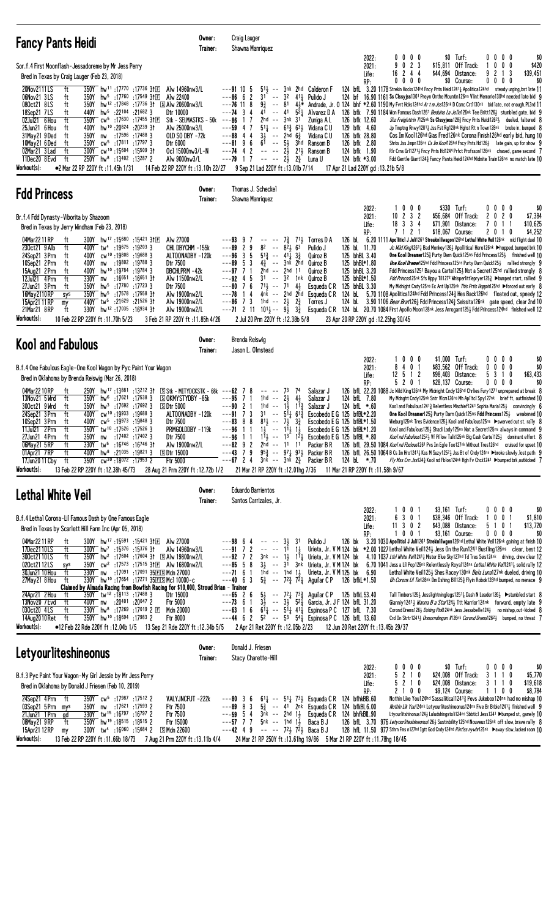| <b>Fancy Pants Heidi</b>                                                                                                                                                                                                                                                                                                                                                                                                                                                                                                                                                                                                                                                                                                                                                                                                                                                                                                                                                                                 | Owner:<br>Trainer:                                                                                                                                                                                     | <b>Craig Lauger</b><br>Shawna Manriquez                                                                                                                                                                                                                                                                                                   |                                                                                                                                                                                                                                                                                                                                      |                                                                                                                                                                                                                                                                                                                                                                                                                                                                                                                                                                            |                                                     |                                                                                 |                                                                                                                                                                                                                                                                                                                                                                                                                                                                                                                                                                                                                                                                                                                                                                                                                                                                                                                                                                                                                                                                                                                                                         |
|----------------------------------------------------------------------------------------------------------------------------------------------------------------------------------------------------------------------------------------------------------------------------------------------------------------------------------------------------------------------------------------------------------------------------------------------------------------------------------------------------------------------------------------------------------------------------------------------------------------------------------------------------------------------------------------------------------------------------------------------------------------------------------------------------------------------------------------------------------------------------------------------------------------------------------------------------------------------------------------------------------|--------------------------------------------------------------------------------------------------------------------------------------------------------------------------------------------------------|-------------------------------------------------------------------------------------------------------------------------------------------------------------------------------------------------------------------------------------------------------------------------------------------------------------------------------------------|--------------------------------------------------------------------------------------------------------------------------------------------------------------------------------------------------------------------------------------------------------------------------------------------------------------------------------------|----------------------------------------------------------------------------------------------------------------------------------------------------------------------------------------------------------------------------------------------------------------------------------------------------------------------------------------------------------------------------------------------------------------------------------------------------------------------------------------------------------------------------------------------------------------------------|-----------------------------------------------------|---------------------------------------------------------------------------------|---------------------------------------------------------------------------------------------------------------------------------------------------------------------------------------------------------------------------------------------------------------------------------------------------------------------------------------------------------------------------------------------------------------------------------------------------------------------------------------------------------------------------------------------------------------------------------------------------------------------------------------------------------------------------------------------------------------------------------------------------------------------------------------------------------------------------------------------------------------------------------------------------------------------------------------------------------------------------------------------------------------------------------------------------------------------------------------------------------------------------------------------------------|
| Sor.f.4 First Moonflash-Jessadoreme by Mr Jess Perry<br>Bred in Texas by Craig Lauger (Feb 23, 2018)<br>20Nov2111LS<br>350Y hw <sup>11</sup> :17770 :17736 31E<br>ft<br>06Nov21 3LS<br>hw <sup>5</sup> :17 <sup>760</sup> :17549 31 $E$<br>350Y<br>ft<br>080ct21 8LS<br>ft<br>350Y hw <sup>12</sup> :17848 :17736 31 SAIw 20600nw3/L<br>hw <sup>5</sup> :22104<br>:216823<br>18Sep21 7LS<br>ft<br>440Y<br>02Jul21 6 Hou<br>ft<br>350Y cw <sup>5</sup> :17630 :17455 31ED<br>hw <sup>10</sup> :20824<br>25Jun21 6 Hou<br>400Y<br>:20 <sup>239</sup> 31<br>ft<br>:17596 :17488 3<br>31May21 9 Ded<br>ft<br>350Y<br>nw<br>350Y cw <sup>5</sup> :17811 :17797 3<br>10May21 6 Ded<br>ft<br>300Y cw <sup>10</sup> :15604 :15509 31<br>02Mar21 3 Lad<br>ft<br>250Y hw <sup>8</sup> :13402 :13287 2<br>11Dec20 8 Evd<br>ft<br>Workout(s):<br>●2 Mar 22 RP 220Y ft:11.45h 1/31                                                                                                                                    | Alw 14960nw3/L<br>Alw 22400<br>Dtr 10000<br>Stk - SELMASTKS - $50k$ ---86<br>Alw 25000nw3/L<br>OLD SO DBY -72k<br>Dtr 6000<br>Ocl 15000nw3/L-N<br>Alw 9000nw3/L<br>14 Feb 22 RP 220Y ft:13.10h 22/27   | $---91105$<br>$---8666$<br>2<br>3 <sup>1</sup><br>$\sim$ $-$<br>$---76$ 11 8<br>93<br>$--74$ 3 4<br>41<br>7<br>47<br>---59<br>$\overline{4}$<br>$3\frac{1}{2}$<br>$\sim$ $\sim$<br>---88<br>4<br>$---8196$<br>$---74$ 4 2<br>$---79$ 1 7<br>$- - - 2\frac{1}{2}$ $2\frac{3}{4}$<br>9 Sep 21 Lad 220Y ft: 13.01b 7/14                      | $51\frac{1}{2}$ -- $3nk$ 2hd Calderon F<br>32<br>$41\frac{1}{2}$ Pulido J<br>$-- 41$<br>$52$ Alvarez D A<br>2hd -- 3nk 31<br>$51\frac{1}{4}$ -- $61\frac{3}{4}$ $63\frac{1}{2}$<br>2hd $6\frac{3}{4}$<br>$6^{\overline{1}}$ -- $5^{\overline{1}}$ 3hd Ransom B<br>$--- 2\frac{1}{2}$ 2 <sup>1</sup> $\frac{1}{2}$ Ransom B<br>Luna U | 2022:<br>2021:<br>Life:<br>RP:<br>Zuniga A L<br>126 bfk 12.60<br>129 bfk 4.60<br>Vidana C U<br>126 bfk 28.80<br>Vidana C U<br>126 bfk 2.80<br>124 bfk 1.90<br>124 bfk *3.00<br>17 Apr 21 Lad 220Y gd: 13.21b 5/8                                                                                                                                                                                                                                                                                                                                                           | $0\,0\,0\,0$<br>9 0 2 3<br>16 2 4 4<br>$0\ 0\ 0\ 0$ | $$0$ Turf:<br>\$15,811 Off Track:<br>\$44,694<br>Distance:<br>\$0 Course:       | 0000<br>\$0<br>$0\ 0\ 0$<br>\$420<br>3<br>9<br>2 1<br>\$39,451<br>0000<br>\$0<br>124 bfl. 3.20 1178 Strekin Hocks124hd Fncy Pnts Heidi12411 Apolitica124hd steady urging, bst late 11<br>124 bf 16.90 1161 Ss Clssyjss1301 Preyn Onthe Mountin126ns Vlint Memorie130hd needed late bid 9<br>-- 81 41 <sup>*</sup> Andrade, Jr. 0 124 bhf *2.60 1190 My Fvrt Hcks124hd Ar t m Jss126nk D Csmc Crt1130nk bid late, not enough, PL3rd 11<br>126 bfk 7.90 1184 Won Famous Dash1261 Beduino La Jolla126nk Tee Britt1263 stumbled gate, bid 9<br>Shz Freighttrin 7125nk Ss Clssyjess1283 Fncy Pnts Heidi12623 dueled, faltered 8<br>Jp Tmptng Rnwy12811 Jss Fst Rg128nk Hghst Rt n Town128nk broke in, bumped 8<br>Cos Im Koo1126hd Gias Fred126nk Corona Finish126hd early bid, hung 10<br>Shrks Jss Jmpn126ns Cs Im Koon 26hd Fncy Pnts Hd1263 late gain, up for show 9<br>Rir Crns Gr112713 Fncy Pnts Hd1244 Prfct Profsson1126nk chased, game second 7<br>Fdd Gentle Giant 1243 Fancy Pants Heidi 124hd Midnite Train 126ns no match late 10                                                                                                              |
| <b>Fdd Princess</b>                                                                                                                                                                                                                                                                                                                                                                                                                                                                                                                                                                                                                                                                                                                                                                                                                                                                                                                                                                                      | Owner:<br>Trainer:                                                                                                                                                                                     | Thomas J. Scheckel<br>Shawna Manriquez                                                                                                                                                                                                                                                                                                    |                                                                                                                                                                                                                                                                                                                                      |                                                                                                                                                                                                                                                                                                                                                                                                                                                                                                                                                                            |                                                     |                                                                                 |                                                                                                                                                                                                                                                                                                                                                                                                                                                                                                                                                                                                                                                                                                                                                                                                                                                                                                                                                                                                                                                                                                                                                         |
| Br.f.4 Fdd Dynasty-Viborita by Shazoom<br>Bred in Texas by Jerry Windham (Feb 23, 2018)<br>04Mar 22 11 RP<br>300Y hw <sup>17</sup> :15680 :15421 31E<br>ft<br>230ct21 9 Alb<br>ft<br>400Y tw <sup>4</sup> :19675<br>:19203 3<br>24Sep21 3 Prm<br>400Y cw <sup>10</sup> :19808:196883<br>ft<br>10Sep21 2Prm<br>400Y<br>nw :19802 :19788 3<br>ft<br>15Aug21 2 Prm<br>400Y<br>hw <sup>10</sup> :19784:197843<br>ft<br>$12$ Jul $21$ $4$ $Prm$<br>ft<br>330Y nw<br>:16 <sup>651</sup> :16 <sup>651</sup> 3†<br>27Jun21 3 Prm<br>350Y<br>hw <sup>5</sup> :17780<br>$:17^{723}$ 3<br>ft<br>:17558 31<br>16May 2110 RP<br>350Y hw <sup>5</sup> :17578<br>sys<br>15Apr21 11 RP<br>440Y tw <sup>5</sup> :21629 :21526 31<br>my<br>330Y hw <sup>12</sup> :17035:16934 31<br>21Mar21 8RP<br>ft<br>Workout(s):<br>10 Feb 22 RP 220Y ft :11.70h 5/23                                                                                                                                                                  | Alw 27000<br>CHL DBYCHM -155k<br>ALTOONADBY -120k<br>Dtr 7500<br>DBCHLPRM -42k<br>Alw 11500nw2/L<br>Dtr 7500<br>Alw 19000nw2/L<br>Alw 19000nw2/L<br>Alw 19000nw2/L<br>3 Feb 21 RP 220Y ft: 11.85h 4/26 | $---9399$<br>7<br>$\overline{c}$<br>9<br>---89<br>$---96$ 3 5<br>$---89$ 5 3<br>$---97$ 7 1<br>$---92$ 4 5<br>$31 - - 32$<br>$--80$ 7 6<br>$71\frac{1}{2}$ -- 71<br>4<br>---78<br>$---86$ 7 3<br>1hd -- $2\frac{1}{2}$<br>$--71$ 2 11 $10^{11}$ $- 9\frac{1}{2}$<br>2 Jul 20 Prm 220Y ft: 12.38b 5/8                                      | $-- -7\frac{3}{4}$ 7 <sup>1</sup> / <sub>2</sub> Torres D A<br>$8^2$ -- $8^2\frac{1}{2}$ $6^3$<br>$5^{13}$ -- $4^{11}$ $3^{3}$<br>$4\frac{3}{4}$ -- 3nk 2hd<br>2hd -- 2hd 11<br>1nk<br>41<br>4nk -- 2hd 2hd<br>$2\frac{3}{4}$<br>$3\frac{3}{4}$                                                                                      | 2022:<br>2021:<br>Life:<br>RP:<br>126 bL 11.70<br>Pulido J<br>125 bhBL 3.40<br>Quiroz B<br>125 bhBL*1.80<br>Quiroz B<br>Quiroz B<br>125 bhBL 3.20<br>125 bhBL*1.50<br>Quiroz B<br>125 bhBL 3.30<br>Esqueda C R<br>Esqueda C R<br>Torres J<br>Esqueda C R<br>23 Apr 20 RP 220Y gd:12.25hg 30/45                                                                                                                                                                                                                                                                             | 1000<br>$10 \t2 \t3 \t2$<br>18 3 3 4<br>7 1 2 1     | \$330 Turf:<br>\$56,684 Off Track:<br>\$71,901<br>Distance:<br>\$18.067 Course: | 0000<br>\$0<br>2020<br>\$7,384<br>\$10,625<br>7011<br>\$4,252<br>2010<br>126 bl. 6.20 1111 Apolliticl J Juli1261 Streakinlilwagon126hd Lethal White Veil126nk mid flight duel 10<br>Jc Wild King12611 Bad Monkey1261 Apollitical Hero126nk >hopped bumped brk 10<br>One Kool Dreamer125 <sup>3</sup> Purty Darn Quick125ns Fdd Princess1253 finished well 10<br><b>One Kool Dremer</b> 125hd Fdd Princess 125ns Purty Darn Quick 1253 rallied strongly 9<br>Fdd Princess1251 Bayou a Cartel125} Not a Secret125hd rallied strongly 8<br>Fdd Princss125nk Sfs Hppy Til1272 Whisperlittlepryer125} ▶bumped start, rallied 9<br>My Midnight Cndy125ns Ec Ant Up125nk This Prtis Hoppin125hd ▶forced out early 8<br>124 bL $\,$ 5.70 1108 Apolitica124hd Fdd Princess124 $\frac{3}{4}$ Hes Back126hd floated out, speedy 12<br>124 bL 3.90 1106 Beer Brat126 <sub>3</sub> Fdd Princess124 <sub>3</sub> Seissita126nk gate speed, clear 2nd 10<br>124 bl. 20.70 1084 First Apollo Moon128nk Jess Arrogant1253 Fdd Princess124hd finished well 12                                                                                                             |
| <b>Kool and Fabulous</b>                                                                                                                                                                                                                                                                                                                                                                                                                                                                                                                                                                                                                                                                                                                                                                                                                                                                                                                                                                                 | Owner:<br>Trainer:                                                                                                                                                                                     | Brenda Reiswig<br>Jason L. Olmstead                                                                                                                                                                                                                                                                                                       |                                                                                                                                                                                                                                                                                                                                      |                                                                                                                                                                                                                                                                                                                                                                                                                                                                                                                                                                            |                                                     |                                                                                 |                                                                                                                                                                                                                                                                                                                                                                                                                                                                                                                                                                                                                                                                                                                                                                                                                                                                                                                                                                                                                                                                                                                                                         |
| B.f.4 One Fabulous Eagle-One Kool Wagon by Pyc Paint Your Wagon<br>Bred in Oklahoma by Brenda Reiswig (Mar 26, 2018)<br>04Mar2210RP<br>ft<br>250Y hw <sup>17</sup> :13881 :13212 31 SStk - MITYDCKSTK - 68k --- <b>62</b> 7<br>13Nov21 5 Wrd<br>ft<br>$350Y$ hw <sup>6</sup> :17621 :17538 3<br>300ct21 9 Wrd<br>$350Y$ hw <sup>3</sup> :17692 :17692 3<br>ft<br>$5$ Dtr 5000<br>400Y CW <sup>10</sup> :19933 :19688 3<br>24Sep21 3 Prm<br>ft<br>10Sep21 3 Prm<br>400Y cw <sup>5</sup> :19973 :19848 3<br>ft<br>350Y tw <sup>10</sup> :17526:175263<br>11Jul21 2Prm<br>ft<br>2/Jun21 4Prm<br>tt<br>350Y<br>nw<br>:17402 :17402 3<br>06May21 5 RP<br>ft<br>330Y tw <sup>5</sup> :16746 :16746 31<br>$hw^8$ :21035 :19821 3<br>01Apr21 7RP<br>ft<br>400Y<br><b>SDtr 15000</b><br>350Y cw <sup>30</sup> :18072 :17953 2<br>ft<br>17Jun20 11 Cby<br>Workout(s):<br>13 Feb 22 RP 220Y ft: 12.38h 45/73                                                                                                        | <b>SOKMYSTYDBY-85k</b><br>ALTOONADBY -120k<br>Dtr 7500<br>PRMGOLDDBY-119k<br>Dtr /500<br>Alw 19000nw2/L<br>Ftr 5000<br>28 Aug 21 Prm 220Y ft : 12.72b 1/2                                              | 8<br>$--- 73$<br>---95<br>7<br>$1hd - -$<br>$---902$<br>3 <sup>1</sup><br>$---917$<br>-3<br>$81\frac{1}{2}$ -- $7\frac{1}{2}$<br>$---83$ 8 8<br>$---96$ 1 1<br>---96<br>-1-1<br>$---82$ 9 2 2hd $---11$ 11 Packer BR<br>$---43$ 7 9<br>$- - 67$ 2 4 $3n\vec{k}$ -- $3n\vec{k}$ $2\vec{a}$ Packer B R<br>21 Mar 21 RP 220Y ft:12.01hg 7/36 | 74<br>4 <sub>3</sub><br>$2\frac{1}{2}$<br>1hd -- $1\frac{1}{2}$ $1\frac{13}{4}$<br>$-$ 5 <sup>1</sup> $\frac{1}{4}$ 6 <sup>1</sup> $\frac{3}{4}$<br>$3\frac{3}{4}$<br>$1\frac{1}{2}$ -- $11\frac{1}{2}$ $1\frac{1}{2}$<br>$95\frac{3}{4}$ -- $97\frac{1}{4}$ $97\frac{1}{2}$ Packer B R                                              | 2022:<br>2021:<br>Life:<br>RP:<br>Salazar J<br>124 bfL 7.80<br>Salazar J<br>Salazar J<br>124 bfL *.60<br>Escobedo E G 125 bfBL*2.20<br>Escobedo E G 125 bfBL*1.50<br>Escobedo E G 125 bfBL*1.20<br>$1\frac{11}{2}$ -- $1^3$ $1^2\frac{1}{2}$ Escobedo E G 125 btBL *.80<br>124 bL *.70<br>11 Mar 21 RP 220Y ft : 11.58h 9/67                                                                                                                                                                                                                                               | 1000<br>8 4 0 1<br>$12 \t5 \t1 \t2$<br>5 2 0 1      | \$1,000 Turf:<br>\$83,562 Off Track:<br>\$98,403 Distance:<br>\$28,137 Course:  | $0\ 0\ 0\ 0$<br>\$0<br>$0\ 0\ 0\ 0$<br>\$0<br>5 3 1 0<br>\$63,433<br>0000<br>\$0<br>126 bfL 22.20 1088 Jc Wild King126nk My Midnight Cndy126hd Chrlies Fury1271 unprepared at break 8<br>My Mdnght Cndy125nk Sntr V1cm126ns Mh Ap11tc1 Spy127nk brief ft, outfinished 10<br>Kool and Fabulous1241 $\frac{3}{4}$ Relentless Mischief1241 Sophia Maria125 $\frac{1}{2}$ convincingly 6<br><b>One Kool Dreamer</b> 125 $\frac{3}{2}$ Purty Darn Quick 125ns <b>Fdd Princess</b> 125 $\frac{1}{2}$ weakened 10<br>Wieburg125nk Tres Evidence125} Kool and Fabulous125ns ▶swerved out st, rally 8<br>Kool and Fabulous125} Shadi Lady125ns Not a Secret125ns always in command 9<br><i>Kool nd Fabulous</i> 125 <sup>2</sup> ½ Vf Pillow Talk125nk Big Cash Carte1125½ dominant effort 8<br>126 bfl. 29.50 1084 Kool nd Fbulous1261 Pvs Im Egle Too127nk Without Tres126hd cruised for upset 10<br>126 bfL 26.50 1064 B Cs Im Hro1241½ Kss M Suzy1252 3ss Bt of Cndy124ns ▶broke slowly, lost path 9<br>Fly Mss Crn Jss1243 Kool nd Fblos124nk Hgh Fv Chck1241 ▶bumped brk, outkicked 7                                                                      |
| Lethal White Veil                                                                                                                                                                                                                                                                                                                                                                                                                                                                                                                                                                                                                                                                                                                                                                                                                                                                                                                                                                                        | Owner:<br>Trainer:                                                                                                                                                                                     | <b>Eduardo Barrientos</b><br>Santos Carrizales, Jr.                                                                                                                                                                                                                                                                                       |                                                                                                                                                                                                                                                                                                                                      |                                                                                                                                                                                                                                                                                                                                                                                                                                                                                                                                                                            |                                                     |                                                                                 |                                                                                                                                                                                                                                                                                                                                                                                                                                                                                                                                                                                                                                                                                                                                                                                                                                                                                                                                                                                                                                                                                                                                                         |
| B.f.4 Lethal Corona-Lil Famous Dash by One Famous Eagle<br>Bred in Texas by Scarlett Hill Farm Inc (Apr 05, 2018)<br>300Y hw <sup>17</sup> :15591:15421 31回<br>04Mar 22 11 RP<br>ft<br>300Y hw <sup>7</sup> :15376 :15376 31<br>17Dec2110LS<br>ft<br>300ct2110LS<br>350Y hw <sup>2</sup> :17604:17604 31 SAlw 19800nw2/L<br>ft<br>020ct2112LS<br>350Y cw <sup>2</sup> :17573:17515 31El Alw 16800nw2/L<br>sys<br>30Jun21 10 Hou<br>330Y nw :17091 :17091 35ELS Mdn 27000<br>ft<br>330Y hw <sup>10</sup> :17654 :17271 35ESMcl 10000-c<br>27May21 8Hou ft<br>Claimed by Almada Racing from Bowfish Racing for \$10,000, Stroud Brian - Trainer<br>24Apr21 2 Hou<br>350Y tw <sup>12</sup> :18113:17488 3<br>ft<br>13Nov20 7 Evd<br>ft<br>400Y nw :20 <sup>401</sup> :20 <sup>047</sup> 2<br>030ct20 4LS<br>330Y hw <sup>8</sup> :17269 :17019 2 E<br>ft<br>350Y hw <sup>10</sup> :18694 :17983 2<br>14Aug2010Ret ft<br>Workout(s):<br>●12 Feb 22 Rde 220Y ft: 12.04b 1/5 13 Sep 21 Rde 220Y ft: 12.34b 5/5 | Alw 27000<br>Alw 14960nw3/L<br>Dtr 15000<br>Ftr 5000<br>Mdn 20000<br>Ftr 8000                                                                                                                          | $---98$ 64<br>$--- 3\frac{1}{2}$ 31<br>$--91$ 7 2 -- -- 1 <sup>1</sup> 1 <sup>1</sup><br>$---65$ 2 6<br>$---73$ 6 1<br>$---63$ 1 6<br>2 Apr 21 Ret 220Y ft :12.05b 2/23                                                                                                                                                                   |                                                                                                                                                                                                                                                                                                                                      | 2022:<br>2021:<br>Life:<br>RP:<br>Pulido J<br>$---71$ 6 1 1hd $---$ 1hd 1 $\frac{1}{2}$ Urieta, Jr. V M 125 bk 6.90<br>---40 6 3 $5\frac{3}{4}$ -- $72\frac{3}{4}$ 7 $\overline{2}$ Aguilar CP 126 bfkL *1.50<br>5} $-72\frac{1}{4}$ 7 <sup>3</sup> $\frac{3}{4}$ Aguilar C P 125 bfkL 53.40<br>$3\frac{1}{2}$ -- $3\frac{1}{2}$ 5 <sup>2</sup> $\frac{1}{4}$ Garcia, Jr. JF 124 bfL 31.20<br>$61\frac{1}{4}$ -- $51\frac{1}{4}$ 41 Espinosa P C 127 bfL 7.30<br>$---44$ 6 2 $5^{2}$ $--- 5^{3}$ $5^{4}$ Espinosa P C 126 bfL 13.60<br>12 Jun 20 Ret 220Y ft :13.45b 29/37 | 1001<br>6<br>301<br>$11$ 3 0 2<br>1001              | $$3,161$ Turf:<br>\$38,346 Off Track:<br>\$43,088 Distance:<br>\$3,161 Course:  | \$0<br>$0\,0\,0\,0$<br>1001<br>\$1,810<br>5 1 0 1<br>\$13,720<br>$0\ 0\ 0\ 0$<br>\$0<br>126 bk 3.20 1030 Apolliticl J Juli1261 Strekinlilwgon126hd Lethal White Veil126nk gaining at finish 10<br>Urieta, Jr. V M 124 bk *2.00 1027 Lethal White Veil1243 Jess On the Run1241 Bustling126ns clear, best 12<br>---92 7 2 3nk -- 13 111 Urieta, Jr. V M 124 bk 4.10 1037 Lth1 White Ver/12414 Mister Blue Sky127hd Td Tres Seis124nk driving, drew clear 12<br>---85 5 8 3} -- 31 3nk Urieta, Jr. V M 124 bk 6.70 1041 Jess a Lil Pop126nk Relentlessly Royal124ns Lethal White Veil12414 solid rally 12<br>Lethal White Veil125} Shes Racey130 <sup>nk</sup> Bela Luna127 <sup>nk</sup> dueled, driving 10<br>Gh Corons Lil Tin128nk Dm Dshing B111253 Flyin Robok128hd bumped, no menace 9<br>Tall Timbers125½ Jesslightninglegs12511 Dash N Leader126½ ▶ stumbled start 8<br>Gianniy 12413 <i>Wanna B a Star</i> 1243 Ttt Warrior 124nk forward, empty late 9<br>Corond Drems1263 Dshing Pink124nk Jess Jessabelle1243 no mishap, out-kicked 8<br>Crd On Strtr1241 <sub>2</sub> Onmorndimgon $M26nk$ Corond Drems1262 <sub>2</sub> bumped, no threat 7 |
| <b>Letyourliteshineonus</b>                                                                                                                                                                                                                                                                                                                                                                                                                                                                                                                                                                                                                                                                                                                                                                                                                                                                                                                                                                              | Owner:<br>Trainer:                                                                                                                                                                                     | Donald J. Friesen<br>Stacy Charette-Hill                                                                                                                                                                                                                                                                                                  |                                                                                                                                                                                                                                                                                                                                      |                                                                                                                                                                                                                                                                                                                                                                                                                                                                                                                                                                            |                                                     |                                                                                 |                                                                                                                                                                                                                                                                                                                                                                                                                                                                                                                                                                                                                                                                                                                                                                                                                                                                                                                                                                                                                                                                                                                                                         |
| B.f.3 Pyc Paint Your Wagon-My Girl Jessie by Mr Jess Perry<br>Bred in Oklahoma by Donald J Friesen (Feb 10, 2019)<br>24Sep21 4Prm ft<br>350Y cw <sup>5</sup> :17987 :17512 2<br>03Sep21 5Prm mys<br>350Y nw :17621 :17593 2<br>21Jun21 1 Prm<br>330Y tw <sup>15</sup> :16797:16797 2<br>gd<br>350Y hw <sup>19</sup> :18515:18515 2<br>08May21 9 RP<br>ft<br>15Apr21 12 RP<br>300Y tw <sup>4</sup> :16060 :15684 2<br>my<br>Workout(s):<br>13 Feb 22 RP 220Y ft: 11.66b 18/73 7 Aug 21 Prm 220Y ft: 13.11b 4/4                                                                                                                                                                                                                                                                                                                                                                                                                                                                                            | VALYJNCFUT -222k<br>Ftr 7500<br>Ftr 7500<br>Ftr 15000<br>S Mdn 22600                                                                                                                                   | $---80$ 3 6<br>$---89$ 8 3<br>$--59$ 54<br>$---57$ 7 7 5nk -- 1hd 1,<br>$---42$ 4 9 $---72\frac{1}{2}$ 72 Baca B J                                                                                                                                                                                                                        | $5\frac{3}{4}$ -- 41 2nk Esqueda CR<br>3nk -- 2hd 1,                                                                                                                                                                                                                                                                                 | 2022:<br>2021:<br>Life:<br>RP:<br>$61\frac{1}{4}$ -- $51\frac{1}{4}$ 73 Esqueda C R 124 bfhkBB.60<br>124 bfkBL6.00<br>Esqueda C R<br>124 bhfkBII.90<br>Baca B J<br>24 Mar 21 RP 250Y ft: 13.61hg 19/86 5 Mar 21 RP 220Y ft: 11.78hg 18/45                                                                                                                                                                                                                                                                                                                                  | $0\,0\,0\,0$<br>5210<br>5 2 1 0<br>2 1 0 0          | \$0 Turf:<br>\$24,008 Off Track:<br>\$24,008 Distance:<br>\$9,124 Course:       | 0000<br>\$0<br>3 1 1 0<br>\$5,770<br>3 1 1 0<br>\$19,618<br>1100<br>\$8,784<br>Nothin Like You124hd Sassalitical12413 Pevs Jukebox124ns had no mishap 10<br>Nothin Lik You124nk Letyourliteshineonus124ns Five Br Brbie12411 finished well 9<br>Ltyourlitshinonus124} Luludshingstoli124ns Sbbticl Jess1241 ▶bumped st, gamely 10<br>126 bfl. 3.70 976 Letyourliteshineonus126} Sustinbility125hd Nouveux126nk off slow, brave rally 8<br>128 hfl 11.50 977 Sthrn Fms n127hd Igtt God Cndy124hd Rintiss nywhr125nk Daway slow, lacked room 10                                                                                                                                                                                                                                                                                                                                                                                                                                                                                                                                                                                                           |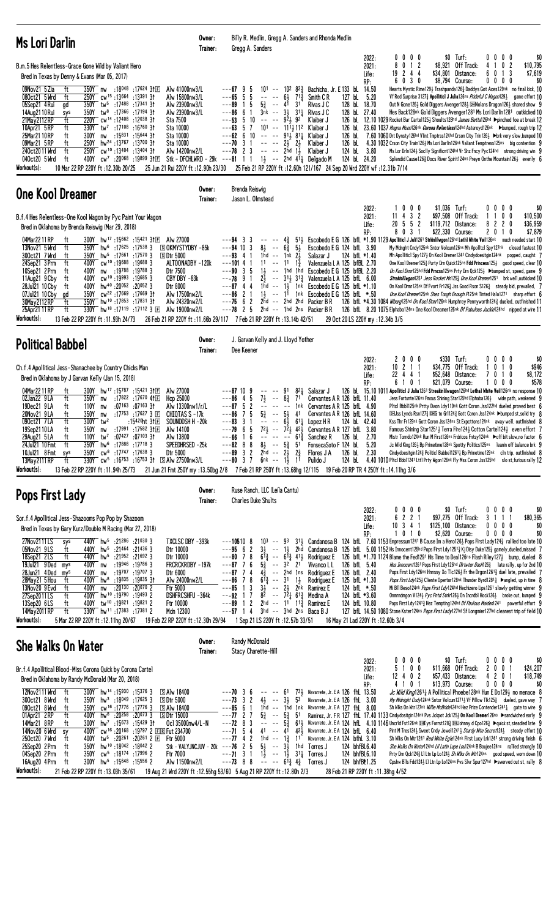| Ms Lori Darlin                                                                                                                                                                                                                                                                                                                                                                                                                                                                                                                                                                                                                                                                                                                                                                                                                                                                                                                                  | Owner:<br>Trainer:                                                                                                                                                                                | Billy R. Medlin, Gregg A. Sanders and Rhonda Medlin<br>Gregg A. Sanders                                                                                                                                                                                                                                                                                                                                                                                                                                                                                                                               |                                                                                                                                                                                                                                                                                                                                                                                                                      |                                                                                                                                                |                                                                                                                                                                                                                                                                                                                                                                                                                                                                                                                                                                                                                                                                                                                                                                                                                                                                                                                                                                                                                                                                                                                                                                                                                                                                                             |
|-------------------------------------------------------------------------------------------------------------------------------------------------------------------------------------------------------------------------------------------------------------------------------------------------------------------------------------------------------------------------------------------------------------------------------------------------------------------------------------------------------------------------------------------------------------------------------------------------------------------------------------------------------------------------------------------------------------------------------------------------------------------------------------------------------------------------------------------------------------------------------------------------------------------------------------------------|---------------------------------------------------------------------------------------------------------------------------------------------------------------------------------------------------|-------------------------------------------------------------------------------------------------------------------------------------------------------------------------------------------------------------------------------------------------------------------------------------------------------------------------------------------------------------------------------------------------------------------------------------------------------------------------------------------------------------------------------------------------------------------------------------------------------|----------------------------------------------------------------------------------------------------------------------------------------------------------------------------------------------------------------------------------------------------------------------------------------------------------------------------------------------------------------------------------------------------------------------|------------------------------------------------------------------------------------------------------------------------------------------------|---------------------------------------------------------------------------------------------------------------------------------------------------------------------------------------------------------------------------------------------------------------------------------------------------------------------------------------------------------------------------------------------------------------------------------------------------------------------------------------------------------------------------------------------------------------------------------------------------------------------------------------------------------------------------------------------------------------------------------------------------------------------------------------------------------------------------------------------------------------------------------------------------------------------------------------------------------------------------------------------------------------------------------------------------------------------------------------------------------------------------------------------------------------------------------------------------------------------------------------------------------------------------------------------|
| B.m.5 Hes Relentless-Grace Gone Wild by Valiant Hero<br>Bred in Texas by Denny & Evans (Mar 05, 2017)<br>09Nov21 5 Zia<br>350Y nw :18 <sup>048</sup> :17 <sup>624</sup> 31ED<br>ft<br>080ct21 5 Wrd<br>ft<br>250Y cw <sup>15</sup> :13 <sup>664</sup> :13 <sup>391</sup> 31<br>$05$ Sep21 $4$ Rui<br>350Y tw <sup>5</sup> :17488 :17341 31<br>ad<br>350Y<br>tw <sup>8</sup> :17366:1719431<br>14Aug2110 Rui<br>sys<br>21May 2112 RP<br>220Y cw <sup>14</sup> :12408:1203831<br>ft<br>10Apr21 5 RP<br>ft<br>330Y tw <sup>7</sup> :17108 :16760 31<br>25Mar21 10 RP<br>:15 <sup>831</sup> :15 <sup>644</sup> 3†<br>ft<br>300Y<br>nw<br>ft<br>250Y hw <sup>24</sup> :13767 :13700 31<br>09Mar21 5 RP<br>250Y cw <sup>10</sup> :13404 :13404 31<br>240ct2011 Wrd<br>ft<br>040ct20 5 Wrd<br>ft<br>400Y<br>cw <sup>7</sup> :20 <sup>068</sup> :19 <sup>899</sup> 3†⊡<br>Workout(s):<br>10 Mar 22 RP 220Y ft: 12.30b 20/25                             | Alw 41000nw3/L<br>Alw 15800nw3/L<br>Alw 23900nw3/L<br>Alw 23900nw3/L<br>Sta 7500<br>Sta 10000<br>Sta 10000<br>Sta 10000<br>Alw 14200nw2/L<br>25 Jun 21 Rui 220Y ft : 12.90h 23/30                 | $101 - 10282$<br>---67 9<br>5<br>5<br>---65<br>5<br>$6\frac{1}{2}$<br>$7^{13}$<br>$1\quad5$<br>3 <sup>1</sup><br>---89<br>$5\frac{3}{4}$ -- 41<br>3nk -- 3 <del>1</del><br>---86<br>61<br>$---53$ 5 10 -- -- 921, 92<br>$---63$ 5 7 101 $---$ 111 $\frac{1}{2}$ 11 <sup>2</sup> Klaiber J<br>$---62$ 6 10 -- -- $91\frac{1}{2}$ 81 <sup>1</sup> / <sub>4</sub> Klaiber J<br>$---70$ 3 1 $---23$ 2<br>$---78$ 2 3<br>-- -- 2hd 1½<br>Stk - DFCHLWRD - 29k ---81 1 1 1 $1\frac{1}{2}$ -- 2hd 41 $\frac{1}{4}$ Delgado M                                                                                 | 2022:<br>2021:<br>Life:<br>RP:<br>14.50<br>Bachicha, Jr. E 133 bL<br>5.20<br>127 bL<br>Smith C R<br>Rivas J C<br>128 bL 18.70<br>$31\frac{1}{4}$ Rivas J C<br>128 bL 27.40<br>Klaiber J<br>126 bL<br>126 bL<br>Klaiber J<br>126 bL<br>124 bL<br>Klaiber J<br>3.80<br>124 bL 24.20<br>25 Feb 21 RP 220Y ft: 12.60h 121/167 24 Sep 20 Wrd 220Y wf: 12.31b 7/14                                                         | 0000<br>8<br>$0 \t1 \t2$<br>\$8,921<br>19 2 4 4<br>\$34,801<br>030<br>6<br>Vf Red Surprise 31273 Apolliticl J Julia 126ns Prideful C Wagon1293 | $$0$ Turf:<br>$0\,0\,0\,0$<br>\$0<br>Off Track:<br>\$10,795<br>4 1 0 2<br>6 0 1 3<br>\$7,619<br>Distance:<br>\$8,794 Course:<br>0<br>$0\,$ $0\,$ $0\,$<br>\$0<br>Hearts Mystic Rime1291 Trashpanda1263 Daddys Got Aces129nk no final kick, 10<br>game effort 10<br>Out N Gone 126 3 Gold Diggers Avenger 128 3 DEINolans Dragon 126 3 shared show 9<br>Hes Back128nk Gold Diggers Avenger1281 Ms Lori Darlin1281 outkicked 10<br>12.10 1029 Rocket Bar Carte1125} Shoults128hd James Betta126hd >pinched foe at break 12<br>126 bl 23.60 1037 Magna Moon126nk Corona Relentless124hd Asteroyd126nk >bumped, rough trip 12<br>7.60 1060 Drt Dynsty126hd Vlint Tmptrss124hd Crson City Trin126½ ▶brk very slow,bumped 10<br>4.30 1032 Crson City Train126½ Ms Lori Darlin126nk Valiant Temptress125ns big contention 9<br>Ms Lor Drln124} Soclly Significnt124hd Vr Shz Fncy Pyc124hd strong driving win 9<br>Splendid Cause 126 $\frac{3}{4}$ Docs River Spirit 124ns Preyn Onthe Mountain 126 $\frac{1}{2}$ evenly 6                                                                                                                                                                                                                                                                        |
| <b>One Kool Dreamer</b>                                                                                                                                                                                                                                                                                                                                                                                                                                                                                                                                                                                                                                                                                                                                                                                                                                                                                                                         | Owner:<br>Trainer:                                                                                                                                                                                | Brenda Reiswig<br>Jason L. Olmstead                                                                                                                                                                                                                                                                                                                                                                                                                                                                                                                                                                   |                                                                                                                                                                                                                                                                                                                                                                                                                      | \$1,036 Turf:                                                                                                                                  | 0000                                                                                                                                                                                                                                                                                                                                                                                                                                                                                                                                                                                                                                                                                                                                                                                                                                                                                                                                                                                                                                                                                                                                                                                                                                                                                        |
| B.f.4 Hes Relentless-One Kool Wagon by Pyc Paint Your Wagon<br>Bred in Oklahoma by Brenda Reiswig (Mar 29, 2018)<br>04Mar2211RP<br>300Y hw <sup>17</sup> :15662:15421 31E Alw 27000<br>ft<br>13Nov21 5 Wrd<br>ft<br>$350Y$ hw <sup>6</sup> :17625 :17538 3<br>hw <sup>5</sup> :17661:175703<br>300ct21 7Wrd<br>ft<br>350Y<br>24Sep21 3 Prm<br>ft<br>400Y cw <sup>10</sup> :19688:196883<br>10Sep21 2 Prm<br>400Y<br>nw :19788 :19788 3<br>ft<br>cw <sup>10</sup> :19993 :19685 3<br>11Aug21 9 Cby<br>ft<br>400Y<br>hw <sup>40</sup> :20052:200523<br>28Jul21 10 Cby<br>400Y<br>ft<br>cw <sup>22</sup> :17669:1766931<br>07Jul21 10 Cby<br>350Y<br>ad<br>350Y hw <sup>10</sup> :17853 :17831 31<br>30May 2112 RP<br>ft<br>330Y hw <sup>18</sup> :17119 :17112 3 F<br>25Apr21 11 RP<br>ft<br>Workout(s):<br>13 Feb 22 RP 220Y ft: 11.93h 24/73                                                                                                    | <b>SOKMYSTYDBY-85k</b><br>5Dtr 5000<br>ALTOONADBY -120k<br>Dtr 7500<br>CBY DBY -83k<br>Dtr 8000<br>Alw 17500nw2/L<br>Alw 24320nw2/L<br>Alw 19000nw2/L                                             | $---94$ 3 3<br>81<br>$5\frac{1}{2}$<br>$---94$ 10 3<br>$- - 6\frac{3}{4}$<br>$--$ 1nk $2\frac{1}{2}$<br>$---93$ 4 1<br>1hd<br>$11 - - 11$ $1\frac{3}{4}$<br>$---101$ 4 1<br>$---90$ 3 5<br>---78<br>91<br>$---87$ 4 4<br>$--86$ 2 1<br>$---75$ 6 2<br>2hd $-$ 2hd 2hd Packer BR<br>$---78$ 2 5<br>2hd $--$ 1hd 2ns Packer BR<br>26 Feb 21 RP 220Y ft: 11.66b 29/117 7 Feb 21 RP 220Y ft: 13.14b 42/51                                                                                                                                                                                                 | 2022:<br>2021:<br>Life:<br>RP:<br>Escobedo E G 124 bfL 3.90<br>Salazar J<br>124 bfL *1.40<br>Valenzuela L A 125 bfBL 2.70<br>$1\frac{1}{2}$ -- 1hd 1hd Escobedo E G 125 bfBL 2.20<br>$2\frac{1}{2}$ -- $31\frac{1}{2}$ $31\frac{3}{4}$ Valenzuela L A 125 bfL 6.00<br>1hd $--$ 1 $\frac{1}{2}$ 1nk Escobedo E G 125 bfL *1.10<br>1} -- $1^{\circ}$ 1nk Escobedo E G 125 bfL *.50<br>29 Oct 20 LS 220Y my :12.34b 3/5 | $0\ 0\ 0$<br>$11$ 4 3 2<br>20 5 5 2<br>8 0 3 1<br>\$22,330 Course:                                                                             | \$0<br>\$97,508 Off Track:<br>1 1 0 0<br>\$10,500<br>8 2 2 0<br>\$36,959<br>\$119,712 Distance:<br>2 0 1 0<br>\$7,879<br>-- -- 4} 51} Escobedo E G 126 bfl. *1.90 1129 Apolliticl J Juli1261 Strkinlilwgon126hd Lethl White Veil126nk much needed start 10<br>My Mdnght Cndy125nk Sntor Volcum126ns Mh Apolitcl Spy127nk closed fastest 10<br>Mh Apolliticl Spy127} On Kool Dremer1241 Cindydoesitgin124nk popped, caught 7<br>One Kool Dremer1253 Purty Drn Quick125ns Fdd Princess1253 good speed, clear 10<br>On Kool Drmr125hd Fdd Prncss125ns Prty Drn Qck125} ▶bumped st, speed, game 9<br>Strekinlilwgon1251 Jess Rocket Mn1253 One Kool Dremer1251 brk well, outkicked 10<br>On Kool Drmr125nk Df Fvort Fr1263 Jss Good Rson S1263 steady bid, prevailed, 7<br>One Kool Dremer125nk Shes Tough Enough P125nk Tinted Halo1271 sharp effort 6<br>126 bfL *4.30 1084 Wiburg125hd On Kool Drmr126nk Humphrey Pennyworth1243 dueled, outfinished 11<br>126 bfL 8.20 1075 Elphaba124ns One Kool Dreamer126nk Df Fabulous Jackie124hd nipped at wire 11                                                                                                                                                                                                                                    |
| <b>Political Babbel</b>                                                                                                                                                                                                                                                                                                                                                                                                                                                                                                                                                                                                                                                                                                                                                                                                                                                                                                                         | Owner:<br>Trainer:                                                                                                                                                                                | J. Garvan Kelly and J. Lloyd Yother<br>Dee Keener                                                                                                                                                                                                                                                                                                                                                                                                                                                                                                                                                     |                                                                                                                                                                                                                                                                                                                                                                                                                      |                                                                                                                                                |                                                                                                                                                                                                                                                                                                                                                                                                                                                                                                                                                                                                                                                                                                                                                                                                                                                                                                                                                                                                                                                                                                                                                                                                                                                                                             |
| Ch.f.4 Apollitical Jess-Shanachee by Country Chicks Man<br>Bred in Oklahoma by J Garvan Kelly (Jan 15, 2018)<br>04Mar2211RP<br>300Y hw <sup>17</sup> :15 <sup>787</sup> :15421 31E<br>ft<br>02Jan22 9LA<br>ft<br>350Y nw<br>:17822 :17670 4111<br>19Dec21 9LA<br>$:07^{163}$ $:07^{163}$ 3t<br>ft<br>110Y<br>nw<br>:17 <sup>753</sup> :17 <sup>627</sup> 3 $\Box$<br>20Nov21 9LA<br>ft<br>350Y<br>nw<br>ft<br>300Y tw <sup>2</sup><br>090ct21 7LA<br>:15420ht 3†匣<br>19Sep2110LA<br>ft<br>350Y<br>:17 <sup>991</sup> :17 <sup>582</sup> 3†⊡<br>nw<br>:07427 :07103 31<br>110Y<br>29Aug21 5LA<br>ft<br>tw'<br>350Y hw <sup>6</sup> :17888 :17718 3<br>24Ju121 10 Fmt<br>ft<br>350Y cw <sup>8</sup> :17747 :17638 3<br>10Jul21 8 Fmt<br>sys<br>330Y cw <sup>5</sup> :16753 :16753 31 SAlw 27500nw3/L<br>13May 2111 RP<br>ft<br>Workout(s):<br>13 Feb 22 RP 220Y ft :11.94h 25/73                                                                  | Alw 27000<br>Hcp 25000<br>Alw 13300nw1/r/L<br>CHIQTAS S –17k<br>SOUNDDSH H-20k<br>Alw 14100<br>Alw 13800<br>SPEEDHRSED -25k<br>Dtr 5000                                                           | $---87$ 10 9<br>-- -- 91<br>$---86$ 4 5<br>$7\frac{1}{2}$<br>$8\frac{3}{4}$ 71<br>$\sim$ $\sim$<br>2<br>$---87.5$<br>$\sim$ - $\sim$ - $\sim$<br>$ -$<br>$5\frac{3}{4}$<br>$5\frac{1}{2}$ 41<br>$--86$ 7 5<br>$\sim$ $\sim$<br>---83<br>31<br>$-- -63611$ Lopez HR<br>$---796$<br>-5<br>$    61\frac{5}{4}$ Sanchez R<br>---66<br>16<br>$8\frac{1}{2}$ -- $5\frac{3}{4}$ 51<br>$---82$ 8 8<br>$---89$ 3 2<br>$2hd - 2\frac{1}{2}$ $2\frac{3}{4}$<br>$---80$ 3 7<br>6nk -- 1}<br>1 <sup>1</sup><br>216.11.11 11-11 1250Y my :13.50bg 2/8 7 Feb 21 RP 250Y ft :13.68hg 12/115 19 Feb 20 RP TR 4 250Y ft | 2022:<br>2021:<br>Life:<br>RP:<br>$8^{2}$ <sup>1</sup> Salazar J<br>Cervantes AR 126 bfL 11.40<br>1nk Cervantes AR 125 bfL 4.90<br>Cervantes AR 126 bfL 14.60<br>124 bl 42.40<br>721 -- 721 421 Cervantes AR 127 bfl 3.80<br>126 bL 2.70<br>FonsecaSoto F 124 bL<br>5.20<br>Flores J A<br>126 bL<br>2.30<br>Pulido J<br>124 bL                                                                                       | 2000<br>10 2 1 1<br>22 4 4 1<br>6 1 0 1<br>4.40 1010 Pitcl Bbb11241 Lttl Prty Wgon126nk Fly Mss Coron Jss125hd                                 | \$330 Turf:<br>0000<br>\$0<br>\$34,775 Off Track:<br>\$946<br>0<br>10<br>\$8,172<br>\$52,648 Distance:<br>7<br>0 1 0<br>$0\ 0\ 0$<br>\$578<br>\$21.079 Course:<br>126 bl. 15.10 1011 Apollitic1 J Julia1261 Streakinlilwagon126hd Lethal White Veil126nk no response 10<br>Jess Fortunte126ns Fmous Shining Star125hd Elphaba126} wide path, weakened 9<br>Pitcl Bbbl125nk Prtty Dvon Ldy119nk Gott Coron Jss122hd dueled, proved best 6<br><b>DELUSS Lynds Rsn127</b> $_{4}^{3}$ DEIG to Gr1124 $_{4}^{3}$ Gott Coron Jss124nk $\blacktriangleright$ bumped st, solid try 8<br>Kss Thr Fr129nk Gott Coron Jss124ns St Expcttons124nk away well, outfinished 8<br>Famous Shining Star12511 Terra Fire1241 Cotton Cartel1241 even effort 7<br>Mistr Torndo124nk Run M First126ns Frdricos Fntsy124nk ▶off bit slow, no factor 6<br>Jc Wild King126} Bp Primetime128nk Spotty Politics125ns leanin off balance brk 9<br>Cindydoesitgin1243 Politicl Babbel12611 Bp Primetime129nk cln trip, outfinished 8<br>slo st, furious rally 12                                                                                                                                                                                                                                                         |
| Pops First Lady                                                                                                                                                                                                                                                                                                                                                                                                                                                                                                                                                                                                                                                                                                                                                                                                                                                                                                                                 | Owner:<br>Trainer:                                                                                                                                                                                | Ruse Ranch, LLC (Leila Cantu)<br><b>Charles Duke Shults</b>                                                                                                                                                                                                                                                                                                                                                                                                                                                                                                                                           |                                                                                                                                                                                                                                                                                                                                                                                                                      |                                                                                                                                                |                                                                                                                                                                                                                                                                                                                                                                                                                                                                                                                                                                                                                                                                                                                                                                                                                                                                                                                                                                                                                                                                                                                                                                                                                                                                                             |
| Sor.f.4 Apollitical Jess-Shazooms Pop Pop by Shazoom<br>Bred in Texas by Gary Kurz/Double M Racing (Mar 27, 2018)<br>27Nov2111LS<br>440Y hw <sup>5</sup> :21 <sup>286</sup> :21 <sup>030</sup> 3<br>sys<br>05Nov21 9LS<br>$hw^5$ :21464 :21436 3<br>440Y<br>ft<br>18Sep21 2LS<br>ft<br>21692 3 21952 - 440Y hw <sup>5</sup><br>19Jul21 9Ded<br>400Y nw<br>:19946 :19786 3<br>mys<br>28Jun21 4Ded<br>400Y<br>:19 <sup>707</sup> :19 <sup>707</sup> 3<br>nw<br>mys<br>400Y hw <sup>8</sup> :19835 :19835 31<br>28May21 5 Hou<br>ft<br>13Nov20 9 Evd<br>ft<br>400Y<br>:20130 :20070 2<br>nw<br>19493 2 19790 19493 2<br>27Sep2011LS<br>ft<br>400Y tw <sup>10</sup> :19821:198212<br>13Sep20 6LS<br>ft<br>330Y hw <sup>11</sup> :17383 :17381 2<br>14May 2011 RP<br>ft<br>Workout(s):<br>5 Mar 22 RP 220Y ft :12.11hg 20/67                                                                                                                         | TXCLSC DBY -393k<br>Dtr 10000<br>Dtr 10000<br>FRCRCKRDBY-197k<br>Dtr 6000<br>Alw 24000nw2/L<br><b>Ftr 5000</b><br>DSHFRCSHFU-364k<br>Ftr 10000<br>Mdn 12300<br>19 Feb 22 RP 220Y ft: 12.30h 29/94 | ---10510 8<br>$10^3$ -- $9^3$<br>$---95$ 6 2<br>$---80$ 7 8<br>$6^{13}$ -- $6^{13}$ 4 <sup>11</sup> / <sub>2</sub> Rodriguez E<br>$--87$ 7 6<br>$5\frac{3}{7}$<br>$- - 32^{2}$ 21<br>$--87$ 74<br>43<br>$---86$ 7 8<br>$61\frac{3}{4}$ -- 31<br>$1\frac{1}{2}$<br>1 <sub>3</sub><br>$3\frac{1}{2}$ -- $2\frac{1}{2}$ 2nk Ramirez E<br>---85<br>$8\bar{2}$ -- $7\bar{2}$ $\bar{4}$ 6 <sup>1</sup> $\bar{3}$ Medina A<br>$---92$ 1 7<br>1 <sub>2</sub><br>2hd -- $11^{7}$ $11\frac{3}{4}$ Ramirez E<br>---89<br>$---57$ 1 4<br>$3hd - - 3hd$ 2ns $BacaBJ$<br>1 Sep 21 LS 220Y ft : 12.57b 33/51         | 2022:<br>2021:<br>Life:<br>RP:<br>Vivanco L L<br>126 bfL 5.40<br>-- 2hd 1ns Rodriguez E<br>126 bfL 2.40<br>125 bfL *1.30<br>Rodriguez E<br>124 bfL *.50<br>124 bfL *3.60<br>124 bfL 10.80<br>16 May 21 Lad 220Y ft: 12.60b 3/4                                                                                                                                                                                       | 0000<br>6 2 2 1<br>10 3 4 1<br>0 1 0<br>1.                                                                                                     | \$0 Turf:<br>$0\,0\,0\,0$<br>\$0<br>\$97,275 Off Track:<br>\$80,365<br>3 1 1 1<br>\$125,100 Distance:<br>$0\ 0\ 0\ 0$<br>\$0<br>\$2,620 Course:<br>$0\ 0\ 0\ 0$<br>\$0<br>311 Candanosa B 124 bfL 7.60 1153 Empressum1241 B Cause Im a Hero1261 Pops First Lady124 $\frac{3}{4}$ rallied too late 10<br>$3\frac{1}{2}$ -- $1\frac{1}{2}$ 2hd Candanosa B 125 bfl 5.00 1152 Hs Innocent125hd Pops First Ldy1251 $\frac{3}{2}$ Kj Disy Duke125 $\frac{3}{2}$ gamely, dueled, missed 7<br>126 bfL *1.70 1124 Blame the Fed1291 His Time to Deal126ns Flash Riley1273 bump, dueled 8<br>Hes Innocent1261 Pops First Ldy126hd Dirtwter Dash1263 late rally, up for 2nd 10<br>Pops First Ldy126ns Hnnssy Xo Tlc1263 Fr the Drgon1261 $\frac{3}{4}$ duel late, prevailed 7<br><i>Pops First Ldy</i> 125} Cliente Opertor128 <sup>nk</sup> Thunder Byrd128 <sup>13</sup> <sub>4</sub> Pangled, up in time 8<br>Mi Bll Beso124nk <i>Pops First Ldy</i> 124hd Hechizero Lips1261 slowly getting winner 9<br>Onmrndmgon V124½ Pyc Pntd Strkr126½ On Incrdbl Hock126½ broke out, bumped 9<br>Pops First Ldy 1241 <sup>3</sup> Hez Tempting 124hd <i>Df Fbulous Maiden</i> 1241 powerful effort 9<br>127 bfl 14.50 1080 Stone Kster124ns Pops First Lady127hd Sf Longmier127hd cleanest trip of field 10 |
| <b>She Walks On Water</b>                                                                                                                                                                                                                                                                                                                                                                                                                                                                                                                                                                                                                                                                                                                                                                                                                                                                                                                       | Owner:<br>Trainer:                                                                                                                                                                                | <b>Randy McDonald</b><br>Stacy Charette-Hill                                                                                                                                                                                                                                                                                                                                                                                                                                                                                                                                                          |                                                                                                                                                                                                                                                                                                                                                                                                                      |                                                                                                                                                |                                                                                                                                                                                                                                                                                                                                                                                                                                                                                                                                                                                                                                                                                                                                                                                                                                                                                                                                                                                                                                                                                                                                                                                                                                                                                             |
| Br.f.4 Apollitical Blood-Miss Corona Quick by Corona Cartel<br>Bred in Oklahoma by Randy McDonald (Mar 20, 2018)<br>300Y hw <sup>14</sup> :15930:153763<br>12Nov2111 Wrd<br>ft<br>300ct21 8 Wrd<br>$350Y$ hw <sup>3</sup> :18049 :17625 3<br>ft<br>090ct21 8 Wrd<br>cw <sup>16</sup> :17776: 17776 3<br>ft<br>350Y<br>hw <sup>8</sup> :20 <sup>258</sup> :20 <sup>073</sup> 3<br>01Apr21 2RP<br>400Y<br>ft<br>14Mar21 8RP<br>300Y<br>hw <sup>7</sup> :15 <sup>673</sup> :15429 3†<br>ft<br>14Nov20 6 Wrd<br>CW <sup>16</sup> :20 <sup>168</sup> :19 <sup>797</sup> 2 EIR Fut 234700<br>400Y<br>sy<br>ft<br>400Y tw <sup>5</sup> :20 <sup>261</sup> :20 <sup>261</sup> 2 F<br>250ct20 7 Wrd<br>hw <sup>10</sup> :18042:180422<br>25Sep20 2 Prm<br>350Y<br>ft<br>04Sep20 2 Prm<br>350Y<br>cw <sup>5</sup> :18174:179962<br>ft<br>300Y hw <sup>5</sup> :15648 :15556 2<br>16Aug20 4 Prm<br>ft<br>Workout(s):<br>21 Feb 22 RP 220Y ft: 13.03h 35/61 | $S$ Alw 18400<br><b>SDtr 5000</b><br><b>SAW 18400</b><br><b>SDtr 15000</b><br>Ocl 35000nw4/L-N<br><b>Ftr 5000</b><br>Stk - VALYJNCJUV - 20 $k$ ---76 2 5<br>Ftr 7000<br>Alw 11500nw2/L            | $---70$ 3 6<br>$-- -- 61$<br>$4\frac{1}{2}$ --<br>$3\frac{1}{2}$ 5 <sup>3</sup><br>$---73$ 3 2<br>$---85$ 6 1<br>$--77227$<br>$5\frac{3}{4}$ -- $5\frac{3}{4}$ 51<br>$- - - 5\frac{3}{4}$<br>$---72$ 8 3<br>$--71$ 5 4<br>$41 - - 41$<br>$---77$ 4 2<br>1hd -- 1 $\frac{3}{4}$<br>11<br>$5\frac{1}{2}$ -- $3\frac{1}{2}$ 1hd Torres J<br>---71 3 1<br>$1\frac{1}{2}$ -- $1\frac{1}{2}$ 31 $\frac{1}{4}$ Torres J<br>$---73$ 8 8<br>$   6\overline{1}$ $4\overline{4}$<br>19 Aug 21 Wrd 220Y ft: 12.55hg 53/60 5 Aug 21 RP 220Y ft: 12.80h 2/3                                                         | 2022:<br>2021:<br>Life:<br>RP:<br>731 Navarrete, Jr. E A 126 fhl. 13.50<br>Navarrete, Jr. E A 126 fhl. 3.00<br>1hd -- 1hd 1nk Navarrete, Jr. EA 127 fhl. 8.00<br>42, Navarrete, Jr. E A 124 bfl 6.40<br>Navarrete, Jr. E A 124 bfhl. 3.10<br>124 bhfBL6.40<br>124 bhfBL6.10<br>124 bhfB t 1.25<br>Torres J<br>28 Feb 21 RP 220Y ft: 11.38hg 4/52                                                                     | $0\quad 0\quad 0$<br>0<br>5 1 0 0<br>$12$ 4 0 2<br>4 1 0 1<br>\$13,973 Course:                                                                 | \$0 Turf:<br>$0\ 0\ 0\ 0$<br>\$0<br>\$11,668 Off Track:<br>2 0 0 1<br>\$24,207<br>\$57,433 Distance:<br>4 2 0 1<br>\$18,749<br>$0\,0\,0\,0$<br>\$0<br><i>Jc Wild King</i> 1261 <sub>4</sub> A Pollitical Phoebe128nk Hun E Do129 <sub>3</sub> no menace 8<br>My Midnight Cndy124nk Sntor Volcum12713 Vf Pillow Tlk1253 dueled, gave way 7<br>Sh Wiks On Wtr127nk <i>Willie McBride</i> 124hd Hez Prize Contender1241 <sub>4</sub> gate to wire 9<br>Ramirez, Jr. FR 127 fhL 17.40 1133 Cindydositgin124nk Pvs Jckpot Jck125½ On Kool Dremer126ns ▶sandwiched early 9<br>$61\frac{1}{2}$ Navarrete, Jr. E A 124 hfl 4.10 1146 Uncr1d Fst126nk @BEys Forrst128 $\frac{3}{2}$ @BJohnny d Cpo126 $\frac{3}{2}$ ▶quick st,steadied late 9<br>Pint M Tres124} Sweet Cndy Jewel1241} Sturdy Nite Secret124} steady effort 10<br>Sh Wiks On Wtr1241 Red White Egle124nk First Lucy Lrk1241 strong driving finish 6<br>She Walks On Water124hd Lil Latin Lupe Lou124nk B Boujee124ns rallied strongly 10<br>Prty Drn Qck124} L1 Ltn Lp Lo124} Sh Wiks On Wtr124ns good speed, worn down 10<br>Cpshw Blls Fdd124} Ll Ltn Lp Lo124ns Pvs Slvr Spur127hd ▶swerved out st, rally 8                                                                                                                       |